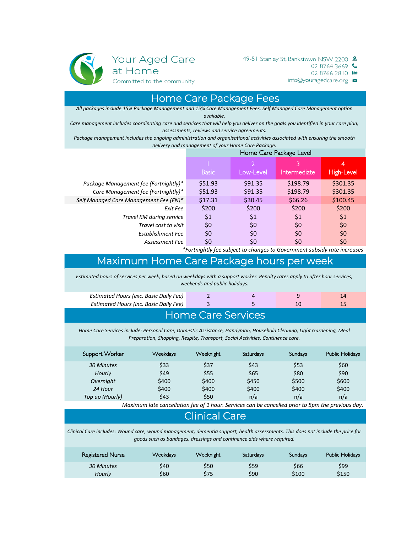

02 8764 3669

02 8766 2810

 $info@youragedcare.org \simeq$ 

#### Home Care Package Fees

*All packages include 15% Package Management and 15% Care Management Fees. Self Managed Care Management option available.*

*Care management includes coordinating care and services that will help you deliver on the goals you identified in your care plan, assessments, reviews and service agreements.*

*Package management includes the ongoing administration and organisational activities associated with ensuring the smooth delivery and management of your Home Care Package.*

|                                        | Home Care Package Level |           |                   |            |
|----------------------------------------|-------------------------|-----------|-------------------|------------|
|                                        | <b>Basic</b>            | Low-Level | 3<br>Intermediate | High-Level |
| Package Management fee (Fortnightly)*  | \$51.93                 | \$91.35   | \$198.79          | \$301.35   |
| Care Management fee (Fortnightly)*     | \$51.93                 | \$91.35   | \$198.79          | \$301.35   |
| Self Managed Care Management Fee (FN)* | \$17.31                 | \$30.45   | \$66.26           | \$100.45   |
| Exit Fee                               | \$200                   | \$200     | \$200             | \$200      |
| Travel KM during service               | \$1                     | \$1       | \$1               | \$1        |
| Travel cost to visit                   | \$0                     | \$0       | \$0               | \$0        |
| Establishment Fee                      | \$0                     | \$0       | \$0               | \$0        |
| Assessment Fee                         | \$0                     | \$0       | \$0               | \$0        |

*\*Fortnightly fee subject to changes to Government subsidy rate increases*

# Maximum Home Care Package hours per week

*Estimated hours of services per week, based on weekdays with a support worker. Penalty rates apply to after hour services, weekends and public holidays.*

| <b>Estimated Hours (exc. Basic Daily Fee)</b> |  |  |
|-----------------------------------------------|--|--|
| <b>Estimated Hours (inc. Basic Daily Fee)</b> |  |  |
|                                               |  |  |

#### Home Care Services

*Home Care Services include: Personal Care, Domestic Assistance, Handyman, Household Cleaning, Light Gardening, Meal Preparation, Shopping, Respite, Transport, Social Activities, Continence care.*

| Support Worker  | <b>Weekdays</b> | Weeknight | Saturdays | Sundays | Public Holidays |
|-----------------|-----------------|-----------|-----------|---------|-----------------|
| 30 Minutes      | \$33            | \$37      | \$43      | \$53    | \$60            |
| Hourly          | \$49            | \$55      | \$65      | \$80    | \$90            |
| Overnight       | \$400           | \$400     | \$450     | \$500   | \$600           |
| 24 Hour         | \$400           | \$400     | \$400     | \$400   | \$400           |
| Top up (Hourly) | \$43            | \$50      | n/a       | n/a     | n/a             |

*Maximum late cancellation fee of 1 hour. Services can be cancelled prior to 5pm the previous day.*

#### Clinical Care

*Clinical Care includes: Wound care, wound management, dementia support, health assessments. This does not include the price for goods such as bandages, dressings and continence aids where required.*

| Registered Nurse | Weekdays | Weeknight | <b>Saturdays</b> | Sundays | Public Holidays |
|------------------|----------|-----------|------------------|---------|-----------------|
| 30 Minutes       | S40      | \$50      | S59              | \$66    | \$99            |
| Hourly           | \$60     | \$75      | \$90             | \$100   | \$150           |